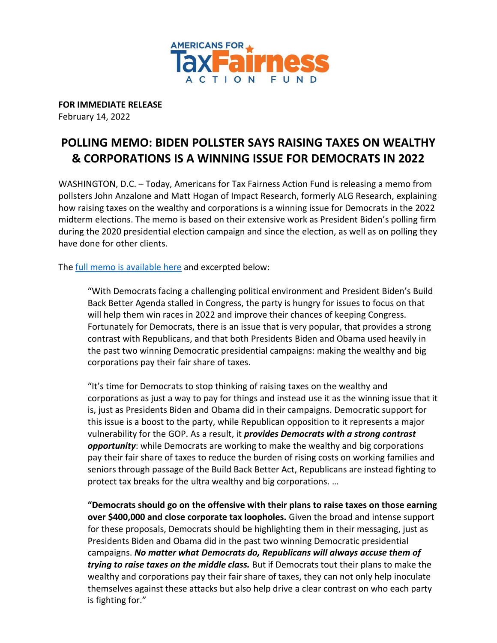

**FOR IMMEDIATE RELEASE** February 14, 2022

## **POLLING MEMO: BIDEN POLLSTER SAYS RAISING TAXES ON WEALTHY & CORPORATIONS IS A WINNING ISSUE FOR DEMOCRATS IN 2022**

WASHINGTON, D.C. – Today, Americans for Tax Fairness Action Fund is releasing a memo from pollsters John Anzalone and Matt Hogan of Impact Research, formerly ALG Research, explaining how raising taxes on the wealthy and corporations is a winning issue for Democrats in the 2022 midterm elections. The memo is based on their extensive work as President Biden's polling firm during the 2020 presidential election campaign and since the election, as well as on polling they have done for other clients.

The [full memo is available here](https://atfactionfund.org/wp-content/uploads/2022/02/IMPACT-RESEARCH-MEMO-ON-TAXES-FEB-8-2022-FINAL-3.pdf) and excerpted below:

"With Democrats facing a challenging political environment and President Biden's Build Back Better Agenda stalled in Congress, the party is hungry for issues to focus on that will help them win races in 2022 and improve their chances of keeping Congress. Fortunately for Democrats, there is an issue that is very popular, that provides a strong contrast with Republicans, and that both Presidents Biden and Obama used heavily in the past two winning Democratic presidential campaigns: making the wealthy and big corporations pay their fair share of taxes.

"It's time for Democrats to stop thinking of raising taxes on the wealthy and corporations as just a way to pay for things and instead use it as the winning issue that it is, just as Presidents Biden and Obama did in their campaigns. Democratic support for this issue is a boost to the party, while Republican opposition to it represents a major vulnerability for the GOP. As a result, it *provides Democrats with a strong contrast opportunity*: while Democrats are working to make the wealthy and big corporations pay their fair share of taxes to reduce the burden of rising costs on working families and seniors through passage of the Build Back Better Act, Republicans are instead fighting to protect tax breaks for the ultra wealthy and big corporations. …

**"Democrats should go on the offensive with their plans to raise taxes on those earning over \$400,000 and close corporate tax loopholes.** Given the broad and intense support for these proposals, Democrats should be highlighting them in their messaging, just as Presidents Biden and Obama did in the past two winning Democratic presidential campaigns. *No matter what Democrats do, Republicans will always accuse them of trying to raise taxes on the middle class.* But if Democrats tout their plans to make the wealthy and corporations pay their fair share of taxes, they can not only help inoculate themselves against these attacks but also help drive a clear contrast on who each party is fighting for."